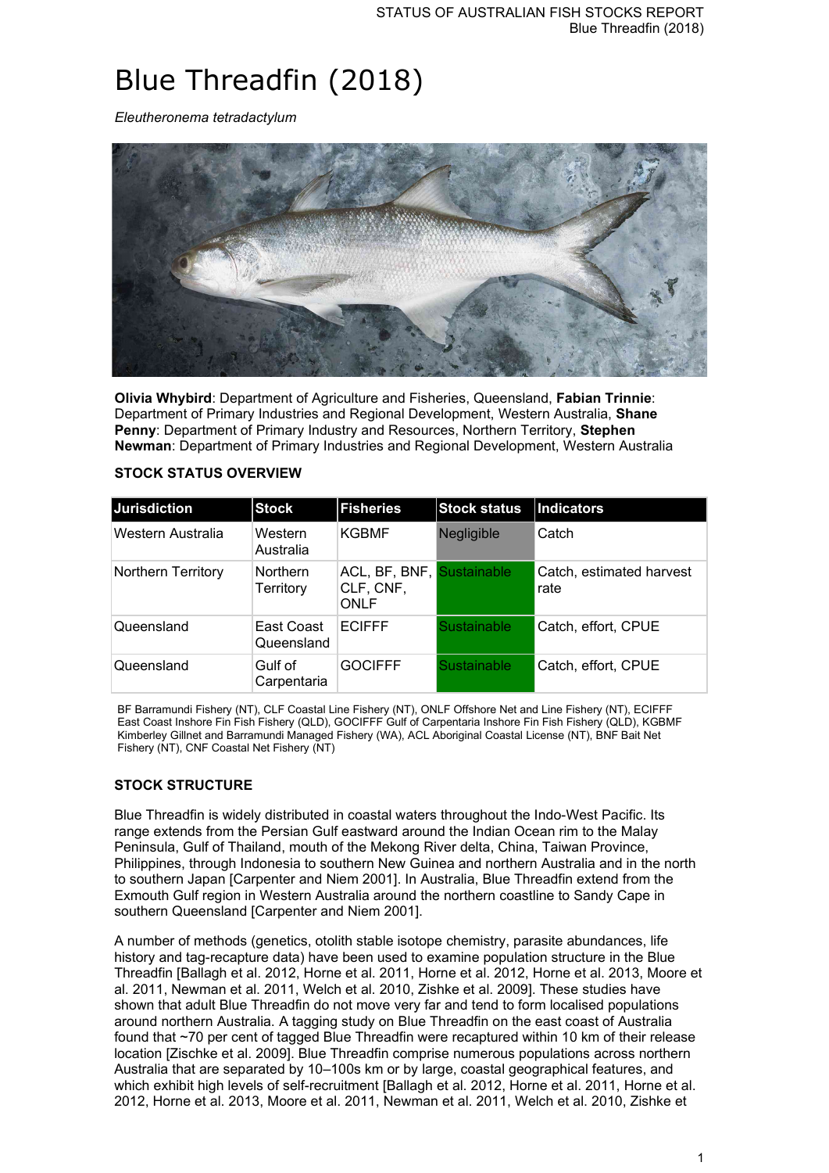# Blue Threadfin (2018)

*Eleutheronema tetradactylum*



**Olivia Whybird**: Department of Agriculture and Fisheries, Queensland, **Fabian Trinnie**: Department of Primary Industries and Regional Development, Western Australia, **Shane Penny**: Department of Primary Industry and Resources, Northern Territory, **Stephen Newman**: Department of Primary Industries and Regional Development, Western Australia

| <b>Jurisdiction</b> | <b>Stock</b>                 | <b>Fisheries</b>                                      | <b>Stock status</b> | Indicators                       |
|---------------------|------------------------------|-------------------------------------------------------|---------------------|----------------------------------|
| Western Australia   | Western<br>Australia         | <b>KGBMF</b>                                          | Negligible          | Catch                            |
| Northern Territory  | <b>Northern</b><br>Territory | ACL, BF, BNF, Sustainable<br>CLF, CNF,<br><b>ONLF</b> |                     | Catch, estimated harvest<br>rate |
| Queensland          | East Coast<br>Queensland     | <b>ECIFFF</b>                                         | <b>Sustainable</b>  | Catch, effort, CPUE              |
| Queensland          | Gulf of<br>Carpentaria       | <b>GOCIFFF</b>                                        | <b>Sustainable</b>  | Catch, effort, CPUE              |

## **STOCK STATUS OVERVIEW**

BF Barramundi Fishery (NT), CLF Coastal Line Fishery (NT), ONLF Offshore Net and Line Fishery (NT), ECIFFF East Coast Inshore Fin Fish Fishery (QLD), GOCIFFF Gulf of Carpentaria Inshore Fin Fish Fishery (QLD), KGBMF Kimberley Gillnet and Barramundi Managed Fishery (WA), ACL Aboriginal Coastal License (NT), BNF Bait Net Fishery (NT), CNF Coastal Net Fishery (NT)

## **STOCK STRUCTURE**

Blue Threadfin is widely distributed in coastal waters throughout the Indo-West Pacific. Its range extends from the Persian Gulf eastward around the Indian Ocean rim to the Malay Peninsula, Gulf of Thailand, mouth of the Mekong River delta, China, Taiwan Province, Philippines, through Indonesia to southern New Guinea and northern Australia and in the north to southern Japan [Carpenter and Niem 2001]. In Australia, Blue Threadfin extend from the Exmouth Gulf region in Western Australia around the northern coastline to Sandy Cape in southern Queensland [Carpenter and Niem 2001].

A number of methods (genetics, otolith stable isotope chemistry, parasite abundances, life history and tag-recapture data) have been used to examine population structure in the Blue Threadfin [Ballagh et al. 2012, Horne et al. 2011, Horne et al. 2012, Horne et al. 2013, Moore et al. 2011, Newman et al. 2011, Welch et al. 2010, Zishke et al. 2009]. These studies have shown that adult Blue Threadfin do not move very far and tend to form localised populations around northern Australia. A tagging study on Blue Threadfin on the east coast of Australia found that ~70 per cent of tagged Blue Threadfin were recaptured within 10 km of their release location [Zischke et al. 2009]. Blue Threadfin comprise numerous populations across northern Australia that are separated by 10–100s km or by large, coastal geographical features, and which exhibit high levels of self-recruitment [Ballagh et al. 2012, Horne et al. 2011, Horne et al. 2012, Horne et al. 2013, Moore et al. 2011, Newman et al. 2011, Welch et al. 2010, Zishke et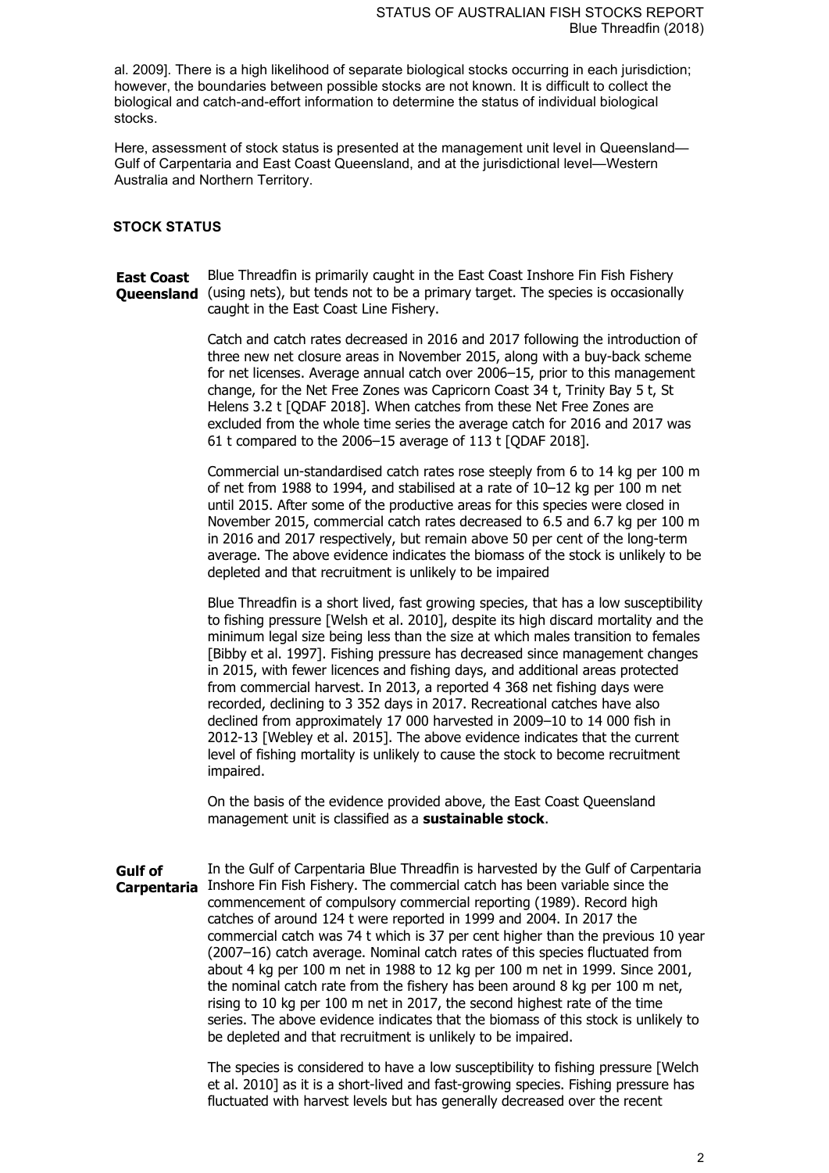al. 2009]. There is a high likelihood of separate biological stocks occurring in each jurisdiction; however, the boundaries between possible stocks are not known. It is difficult to collect the biological and catch-and-effort information to determine the status of individual biological stocks.

Here, assessment of stock status is presented at the management unit level in Queensland— Gulf of Carpentaria and East Coast Queensland, and at the jurisdictional level—Western Australia and Northern Territory.

#### **STOCK STATUS**

**East Coast Queensland** (using nets), but tends not to be a primary target. The species is occasionally Blue Threadfin is primarily caught in the East Coast Inshore Fin Fish Fishery caught in the East Coast Line Fishery.

> Catch and catch rates decreased in 2016 and 2017 following the introduction of three new net closure areas in November 2015, along with a buy-back scheme for net licenses. Average annual catch over 2006–15, prior to this management change, for the Net Free Zones was Capricorn Coast 34 t, Trinity Bay 5 t, St Helens 3.2 t [ODAF 2018]. When catches from these Net Free Zones are excluded from the whole time series the average catch for 2016 and 2017 was 61 t compared to the 2006–15 average of 113 t [QDAF 2018].

> Commercial un-standardised catch rates rose steeply from 6 to 14 kg per 100 m of net from 1988 to 1994, and stabilised at a rate of 10–12 kg per 100 m net until 2015. After some of the productive areas for this species were closed in November 2015, commercial catch rates decreased to 6.5 and 6.7 kg per 100 m in 2016 and 2017 respectively, but remain above 50 per cent of the long-term average. The above evidence indicates the biomass of the stock is unlikely to be depleted and that recruitment is unlikely to be impaired

> Blue Threadfin is a short lived, fast growing species, that has a low susceptibility to fishing pressure [Welsh et al. 2010], despite its high discard mortality and the minimum legal size being less than the size at which males transition to females [Bibby et al. 1997]. Fishing pressure has decreased since management changes in 2015, with fewer licences and fishing days, and additional areas protected from commercial harvest. In 2013, a reported 4 368 net fishing days were recorded, declining to 3 352 days in 2017. Recreational catches have also declined from approximately 17 000 harvested in 2009–10 to 14 000 fish in 2012-13 [Webley et al. 2015]. The above evidence indicates that the current level of fishing mortality is unlikely to cause the stock to become recruitment impaired.

On the basis of the evidence provided above, the East Coast Queensland management unit is classified as a **sustainable stock**.

**Gulf of Carpentaria** Inshore Fin Fish Fishery. The commercial catch has been variable since the In the Gulf of Carpentaria Blue Threadfin is harvested by the Gulf of Carpentaria commencement of compulsory commercial reporting (1989). Record high catches of around 124 t were reported in 1999 and 2004. In 2017 the commercial catch was 74 t which is 37 per cent higher than the previous 10 year (2007–16) catch average. Nominal catch rates of this species fluctuated from about 4 kg per 100 m net in 1988 to 12 kg per 100 m net in 1999. Since 2001, the nominal catch rate from the fishery has been around 8 kg per 100 m net, rising to 10 kg per 100 m net in 2017, the second highest rate of the time series. The above evidence indicates that the biomass of this stock is unlikely to be depleted and that recruitment is unlikely to be impaired.

> The species is considered to have a low susceptibility to fishing pressure [Welch et al. 2010] as it is a short-lived and fast-growing species. Fishing pressure has fluctuated with harvest levels but has generally decreased over the recent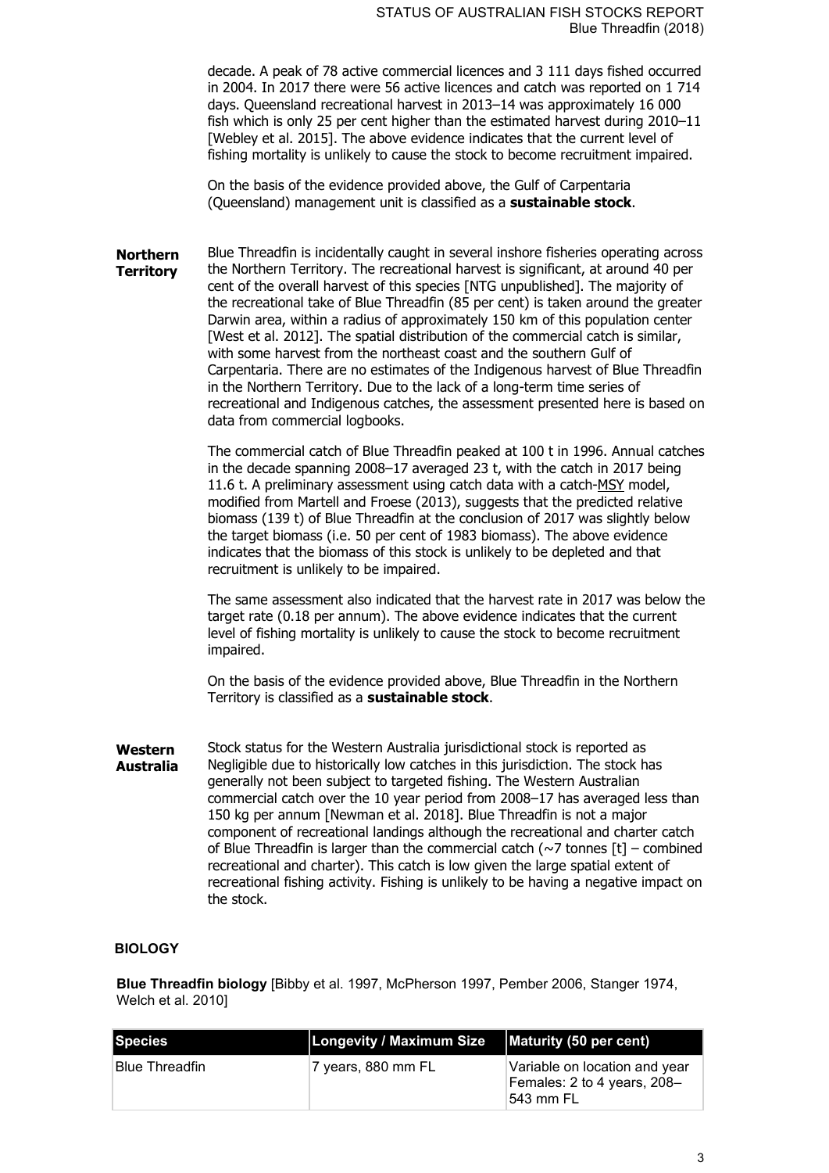decade. A peak of 78 active commercial licences and 3 111 days fished occurred in 2004. In 2017 there were 56 active licences and catch was reported on 1 714 days. Queensland recreational harvest in 2013–14 was approximately 16 000 fish which is only 25 per cent higher than the estimated harvest during 2010–11 [Webley et al. 2015]. The above evidence indicates that the current level of fishing mortality is unlikely to cause the stock to become recruitment impaired.

On the basis of the evidence provided above, the Gulf of Carpentaria (Queensland) management unit is classified as a **sustainable stock**.

**Northern Territory** Blue Threadfin is incidentally caught in several inshore fisheries operating across the Northern Territory. The recreational harvest is significant, at around 40 per cent of the overall harvest of this species [NTG unpublished]. The majority of the recreational take of Blue Threadfin (85 per cent) is taken around the greater Darwin area, within a radius of approximately 150 km of this population center [West et al. 2012]. The spatial distribution of the commercial catch is similar, with some harvest from the northeast coast and the southern Gulf of Carpentaria. There are no estimates of the Indigenous harvest of Blue Threadfin in the Northern Territory. Due to the lack of a long-term time series of recreational and Indigenous catches, the assessment presented here is based on data from commercial logbooks.

> The commercial catch of Blue Threadfin peaked at 100 t in 1996. Annual catches in the decade spanning 2008–17 averaged 23 t, with the catch in 2017 being 11.6 t. A preliminary assessment using catch data with a catch-MSY model, modified from Martell and Froese (2013), suggests that the predicted relative biomass (139 t) of Blue Threadfin at the conclusion of 2017 was slightly below the target biomass (i.e. 50 per cent of 1983 biomass). The above evidence indicates that the biomass of this stock is unlikely to be depleted and that recruitment is unlikely to be impaired.

> The same assessment also indicated that the harvest rate in 2017 was below the target rate (0.18 per annum). The above evidence indicates that the current level of fishing mortality is unlikely to cause the stock to become recruitment impaired.

On the basis of the evidence provided above, Blue Threadfin in the Northern Territory is classified as a **sustainable stock**.

**Western Australia** Stock status for the Western Australia jurisdictional stock is reported as Negligible due to historically low catches in this jurisdiction. The stock has generally not been subject to targeted fishing. The Western Australian commercial catch over the 10 year period from 2008–17 has averaged less than 150 kg per annum [Newman et al. 2018]. Blue Threadfin is not a major component of recreational landings although the recreational and charter catch of Blue Threadfin is larger than the commercial catch  $(\sim)7$  tonnes  $[t]$  – combined recreational and charter). This catch is low given the large spatial extent of recreational fishing activity. Fishing is unlikely to be having a negative impact on the stock.

## **BIOLOGY**

**Blue Threadfin biology** [Bibby et al. 1997, McPherson 1997, Pember 2006, Stanger 1974, Welch et al. 2010]

| <b>Species</b>        | Longevity / Maximum Size   Maturity (50 per cent) |                                                                            |
|-----------------------|---------------------------------------------------|----------------------------------------------------------------------------|
| <b>Blue Threadfin</b> | 7 years, 880 mm FL                                | Variable on location and year<br>Females: 2 to 4 years, 208-<br>⊺543 mm FL |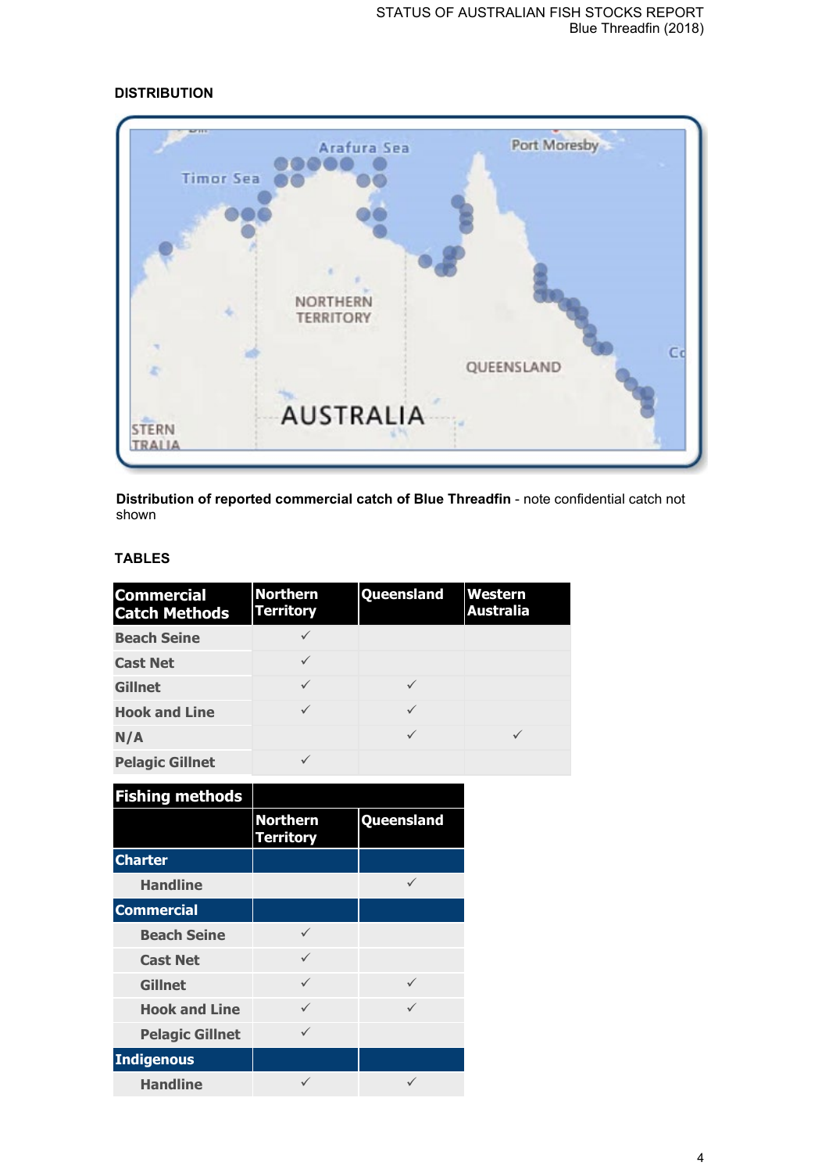| 2011<br><b>Timor Sea</b> | Arafura Sea                         | Port Moresby                 |
|--------------------------|-------------------------------------|------------------------------|
|                          |                                     |                              |
|                          |                                     |                              |
|                          | <b>NORTHERN</b><br><b>TERRITORY</b> |                              |
|                          |                                     | C <sub>c</sub><br>QUEENSLAND |
| <b>STERN</b><br>TRALIA   | <b>AUSTRALIA</b>                    |                              |

## **DISTRIBUTION**

**Distribution of reported commercial catch of Blue Threadfin** - note confidential catch not shown

# **TABLES**

| <b>Commercial</b><br><b>Catch Methods</b> | <b>Northern</b><br><b>Territory</b> | Queensland | <b>Western</b><br><b>Australia</b> |
|-------------------------------------------|-------------------------------------|------------|------------------------------------|
| <b>Beach Seine</b>                        |                                     |            |                                    |
| <b>Cast Net</b>                           |                                     |            |                                    |
| <b>Gillnet</b>                            |                                     |            |                                    |
| <b>Hook and Line</b>                      |                                     |            |                                    |
| N/A                                       |                                     |            |                                    |
| <b>Pelagic Gillnet</b>                    |                                     |            |                                    |

| <b>Fishing methods</b> |                                     |              |
|------------------------|-------------------------------------|--------------|
|                        | <b>Northern</b><br><b>Territory</b> | Queensland   |
| <b>Charter</b>         |                                     |              |
| <b>Handline</b>        |                                     | ✓            |
| <b>Commercial</b>      |                                     |              |
| <b>Beach Seine</b>     | ✓                                   |              |
| <b>Cast Net</b>        | ✓                                   |              |
| <b>Gillnet</b>         | ✓                                   | $\checkmark$ |
| <b>Hook and Line</b>   | $\checkmark$                        | $\checkmark$ |
| <b>Pelagic Gillnet</b> | ✓                                   |              |
| <b>Indigenous</b>      |                                     |              |
| <b>Handline</b>        |                                     |              |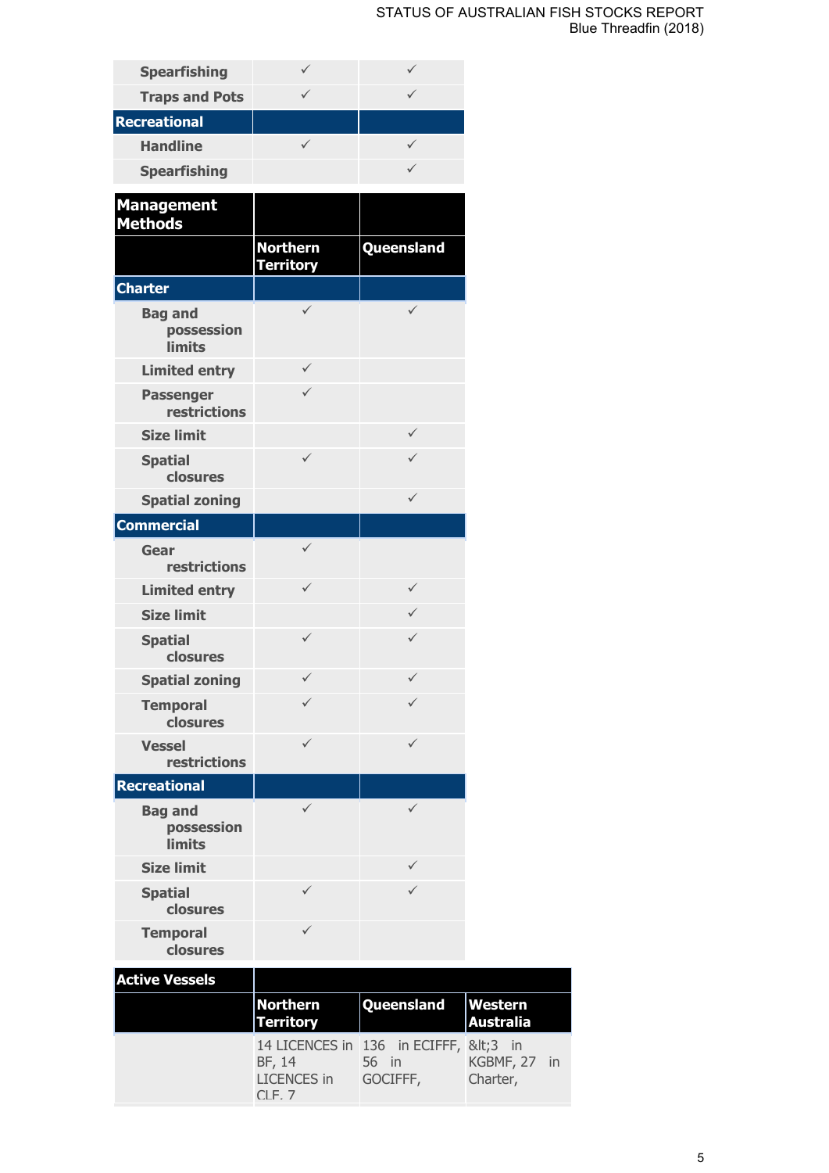## STATUS OF AUSTRALIAN FISH STOCKS REPORT Blue Threadfin (2018)

| <b>Spearfishing</b>                           | $\checkmark$                        | $\checkmark$                                             |                             |    |
|-----------------------------------------------|-------------------------------------|----------------------------------------------------------|-----------------------------|----|
| <b>Traps and Pots</b>                         | $\checkmark$                        | $\checkmark$                                             |                             |    |
| <b>Recreational</b>                           |                                     |                                                          |                             |    |
| <b>Handline</b>                               | $\checkmark$                        | $\checkmark$                                             |                             |    |
| <b>Spearfishing</b>                           |                                     | $\checkmark$                                             |                             |    |
| <b>Management</b><br><b>Methods</b>           |                                     |                                                          |                             |    |
|                                               | <b>Northern</b><br><b>Territory</b> | Queensland                                               |                             |    |
| <b>Charter</b>                                |                                     |                                                          |                             |    |
| <b>Bag and</b><br>possession<br><b>limits</b> | $\checkmark$                        | $\checkmark$                                             |                             |    |
| <b>Limited entry</b>                          | $\checkmark$                        |                                                          |                             |    |
| <b>Passenger</b><br><b>restrictions</b>       | $\checkmark$                        |                                                          |                             |    |
| <b>Size limit</b>                             |                                     | $\checkmark$                                             |                             |    |
| <b>Spatial</b><br>closures                    | $\checkmark$                        | ✓                                                        |                             |    |
| <b>Spatial zoning</b>                         |                                     | $\checkmark$                                             |                             |    |
| <b>Commercial</b>                             |                                     |                                                          |                             |    |
| Gear<br>restrictions                          | $\checkmark$                        |                                                          |                             |    |
| <b>Limited entry</b>                          | $\checkmark$                        | $\checkmark$                                             |                             |    |
| <b>Size limit</b>                             |                                     | $\checkmark$                                             |                             |    |
| <b>Spatial</b><br>closures                    | $\checkmark$                        | ✓                                                        |                             |    |
| <b>Spatial zoning</b>                         | ✓                                   | ✓                                                        |                             |    |
| <b>Temporal</b><br>closures                   | ✓                                   | ✓                                                        |                             |    |
| <b>Vessel</b><br>restrictions                 | $\checkmark$                        | ✓                                                        |                             |    |
| <b>Recreational</b>                           |                                     |                                                          |                             |    |
| <b>Bag and</b><br>possession<br><b>limits</b> | $\checkmark$                        | ✓                                                        |                             |    |
| <b>Size limit</b>                             |                                     | ✓                                                        |                             |    |
| <b>Spatial</b><br>closures                    | ✓                                   | ✓                                                        |                             |    |
| <b>Temporal</b><br>closures                   | $\checkmark$                        |                                                          |                             |    |
| <b>Active Vessels</b>                         | <b>Northern</b><br><b>Territory</b> | Queensland                                               | Western<br><b>Australia</b> |    |
|                                               | BF, 14<br><b>LICENCES</b> in        | 14 LICENCES in 136 in ECIFFF, <3 in<br>56 in<br>GOCIFFF, | KGBMF, 27<br>Charter,       | in |

 $CI$  F, 7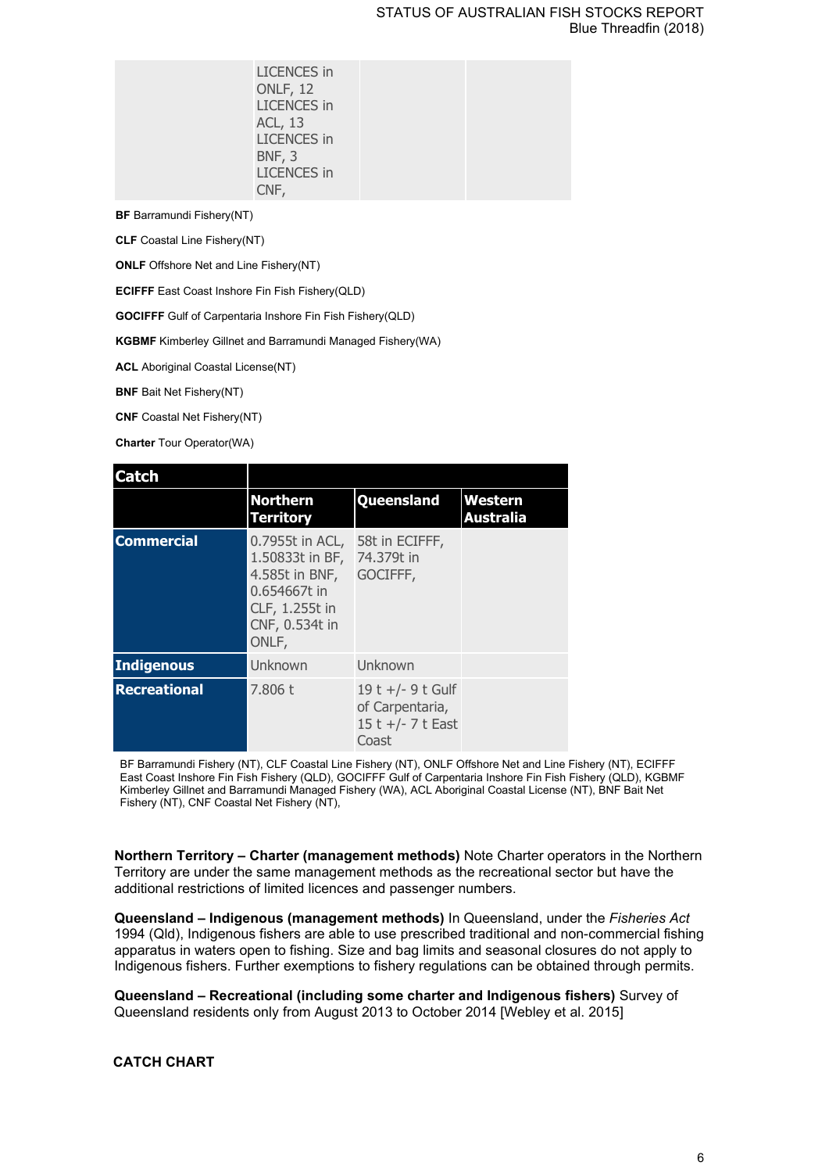| <b>LICENCES</b> in<br>ONLF, 12<br><b>LICENCES</b> in<br><b>ACL, 13</b><br><b>LICENCES</b> in<br>BNF, 3<br><b>LICENCES</b> in<br>CNF, |  |
|--------------------------------------------------------------------------------------------------------------------------------------|--|
|--------------------------------------------------------------------------------------------------------------------------------------|--|

**BF** Barramundi Fishery(NT)

**CLF** Coastal Line Fishery(NT)

**ONLF** Offshore Net and Line Fishery(NT)

**ECIFFF** East Coast Inshore Fin Fish Fishery(QLD)

**GOCIFFF** Gulf of Carpentaria Inshore Fin Fish Fishery(QLD)

**KGBMF** Kimberley Gillnet and Barramundi Managed Fishery(WA)

**ACL** Aboriginal Coastal License(NT)

**BNF** Bait Net Fishery(NT)

**CNF** Coastal Net Fishery(NT)

**Charter** Tour Operator(WA)

| <b>Catch</b>        |                                                                                                                   |                                                                    |                                    |
|---------------------|-------------------------------------------------------------------------------------------------------------------|--------------------------------------------------------------------|------------------------------------|
|                     | <b>Northern</b><br><b>Territory</b>                                                                               | Queensland                                                         | <b>Western</b><br><b>Australia</b> |
| <b>Commercial</b>   | 0.7955t in ACL,<br>1.50833t in BF,<br>4.585t in BNF,<br>0.654667t in<br>CLF, 1.255t in<br>CNF, 0.534t in<br>ONLF, | 58t in ECIFFF,<br>74.379t in<br>GOCIFFF,                           |                                    |
| <b>Indigenous</b>   | Unknown                                                                                                           | Unknown                                                            |                                    |
| <b>Recreational</b> | 7.806 t                                                                                                           | 19 t +/- 9 t Gulf<br>of Carpentaria,<br>15 t +/- 7 t East<br>Coast |                                    |

BF Barramundi Fishery (NT), CLF Coastal Line Fishery (NT), ONLF Offshore Net and Line Fishery (NT), ECIFFF East Coast Inshore Fin Fish Fishery (QLD), GOCIFFF Gulf of Carpentaria Inshore Fin Fish Fishery (QLD), KGBMF Kimberley Gillnet and Barramundi Managed Fishery (WA), ACL Aboriginal Coastal License (NT), BNF Bait Net Fishery (NT), CNF Coastal Net Fishery (NT),

**Northern Territory – Charter (management methods)** Note Charter operators in the Northern Territory are under the same management methods as the recreational sector but have the additional restrictions of limited licences and passenger numbers.

**Queensland – Indigenous (management methods)** In Queensland, under the *Fisheries Act* 1994 (Qld), Indigenous fishers are able to use prescribed traditional and non-commercial fishing apparatus in waters open to fishing. Size and bag limits and seasonal closures do not apply to Indigenous fishers. Further exemptions to fishery regulations can be obtained through permits.

**Queensland – Recreational (including some charter and Indigenous fishers)** Survey of Queensland residents only from August 2013 to October 2014 [Webley et al. 2015]

## **CATCH CHART**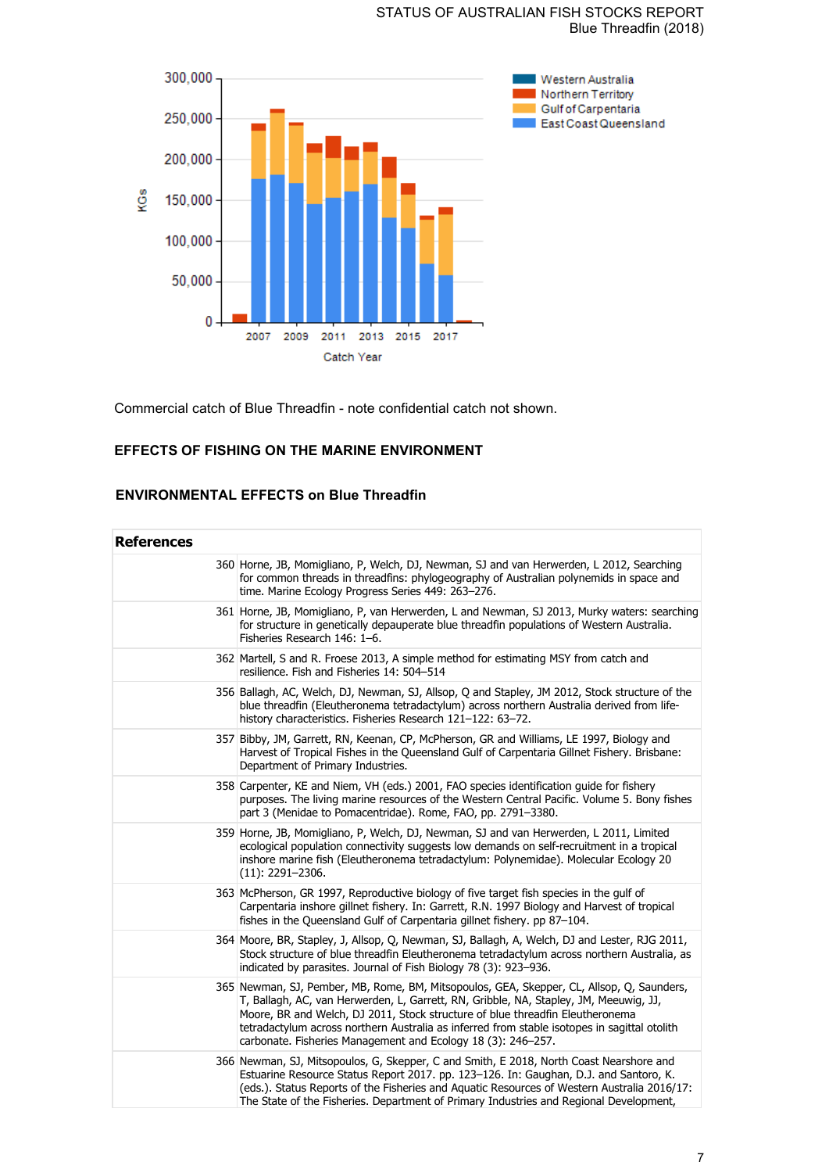## STATUS OF AUSTRALIAN FISH STOCKS REPORT Blue Threadfin (2018)



Commercial catch of Blue Threadfin - note confidential catch not shown.

# **EFFECTS OF FISHING ON THE MARINE ENVIRONMENT**

# **ENVIRONMENTAL EFFECTS on Blue Threadfin**

| <b>References</b> |                                                                                                                                                                                                                                                                                                                                                                                                                                     |
|-------------------|-------------------------------------------------------------------------------------------------------------------------------------------------------------------------------------------------------------------------------------------------------------------------------------------------------------------------------------------------------------------------------------------------------------------------------------|
|                   | 360 Horne, JB, Momigliano, P, Welch, DJ, Newman, SJ and van Herwerden, L 2012, Searching<br>for common threads in threadfins: phylogeography of Australian polynemids in space and<br>time. Marine Ecology Progress Series 449: 263-276.                                                                                                                                                                                            |
|                   | 361 Horne, JB, Momigliano, P, van Herwerden, L and Newman, SJ 2013, Murky waters: searching<br>for structure in genetically depauperate blue threadfin populations of Western Australia.<br>Fisheries Research 146: 1-6.                                                                                                                                                                                                            |
|                   | 362 Martell, S and R. Froese 2013, A simple method for estimating MSY from catch and<br>resilience. Fish and Fisheries 14: 504-514                                                                                                                                                                                                                                                                                                  |
|                   | 356 Ballagh, AC, Welch, DJ, Newman, SJ, Allsop, Q and Stapley, JM 2012, Stock structure of the<br>blue threadfin (Eleutheronema tetradactylum) across northern Australia derived from life-<br>history characteristics. Fisheries Research 121-122: 63-72.                                                                                                                                                                          |
|                   | 357 Bibby, JM, Garrett, RN, Keenan, CP, McPherson, GR and Williams, LE 1997, Biology and<br>Harvest of Tropical Fishes in the Queensland Gulf of Carpentaria Gillnet Fishery. Brisbane:<br>Department of Primary Industries.                                                                                                                                                                                                        |
|                   | 358 Carpenter, KE and Niem, VH (eds.) 2001, FAO species identification guide for fishery<br>purposes. The living marine resources of the Western Central Pacific. Volume 5. Bony fishes<br>part 3 (Menidae to Pomacentridae). Rome, FAO, pp. 2791-3380.                                                                                                                                                                             |
|                   | 359 Horne, JB, Momigliano, P, Welch, DJ, Newman, SJ and van Herwerden, L 2011, Limited<br>ecological population connectivity suggests low demands on self-recruitment in a tropical<br>inshore marine fish (Eleutheronema tetradactylum: Polynemidae). Molecular Ecology 20<br>$(11): 2291 - 2306.$                                                                                                                                 |
|                   | 363 McPherson, GR 1997, Reproductive biology of five target fish species in the gulf of<br>Carpentaria inshore gillnet fishery. In: Garrett, R.N. 1997 Biology and Harvest of tropical<br>fishes in the Queensland Gulf of Carpentaria gillnet fishery. pp 87-104.                                                                                                                                                                  |
|                   | 364 Moore, BR, Stapley, J, Allsop, Q, Newman, SJ, Ballagh, A, Welch, DJ and Lester, RJG 2011,<br>Stock structure of blue threadfin Eleutheronema tetradactylum across northern Australia, as<br>indicated by parasites. Journal of Fish Biology 78 (3): 923–936.                                                                                                                                                                    |
|                   | 365 Newman, SJ, Pember, MB, Rome, BM, Mitsopoulos, GEA, Skepper, CL, Allsop, Q, Saunders,<br>T, Ballagh, AC, van Herwerden, L, Garrett, RN, Gribble, NA, Stapley, JM, Meeuwig, JJ,<br>Moore, BR and Welch, DJ 2011, Stock structure of blue threadfin Eleutheronema<br>tetradactylum across northern Australia as inferred from stable isotopes in sagittal otolith<br>carbonate. Fisheries Management and Ecology 18 (3): 246-257. |
|                   | 366 Newman, SJ, Mitsopoulos, G, Skepper, C and Smith, E 2018, North Coast Nearshore and<br>Estuarine Resource Status Report 2017. pp. 123-126. In: Gaughan, D.J. and Santoro, K.<br>(eds.). Status Reports of the Fisheries and Aquatic Resources of Western Australia 2016/17:<br>The State of the Fisheries. Department of Primary Industries and Regional Development,                                                           |